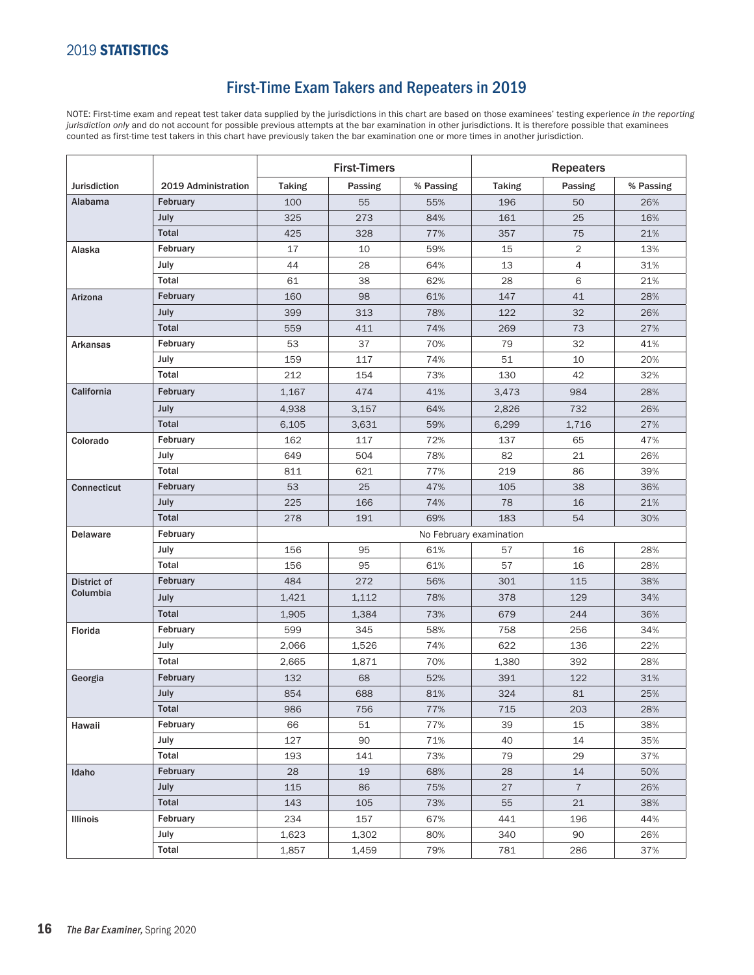### First-Time Exam Takers and Repeaters in 2019

NOTE: First-time exam and repeat test taker data supplied by the jurisdictions in this chart are based on those examinees' testing experience *in the reporting jurisdiction only* and do not account for possible previous attempts at the bar examination in other jurisdictions. It is therefore possible that examinees counted as first-time test takers in this chart have previously taken the bar examination one or more times in another jurisdiction.

|                     |                     | <b>First-Timers</b>     |         | <b>Repeaters</b> |               |                |           |  |
|---------------------|---------------------|-------------------------|---------|------------------|---------------|----------------|-----------|--|
| <b>Jurisdiction</b> | 2019 Administration | <b>Taking</b>           | Passing | % Passing        | <b>Taking</b> | Passing        | % Passing |  |
| Alabama             | February            | 100                     | 55      | 55%              | 196           | 50             | 26%       |  |
|                     | July                | 325                     | 273     | 84%              | 161           | 25             | 16%       |  |
|                     | <b>Total</b>        | 425                     | 328     | 77%              | 357           | 75             | 21%       |  |
| Alaska              | February            | 17                      | 10      | 59%              | 15            | $\overline{2}$ | 13%       |  |
|                     | July                | 44                      | 28      | 64%              | 13            | $\overline{4}$ | 31%       |  |
|                     | Total               | 61                      | 38      | 62%              | 28            | 6              | 21%       |  |
| Arizona             | February            | 160                     | 98      | 61%              | 147           | 41             | 28%       |  |
|                     | July                | 399                     | 313     | 78%              | 122           | 32             | 26%       |  |
|                     | Total               | 559                     | 411     | 74%              | 269           | 73             | 27%       |  |
| Arkansas            | February            | 53                      | 37      | 70%              | 79            | 32             | 41%       |  |
|                     | July                | 159                     | 117     | 74%              | 51            | 10             | 20%       |  |
|                     | Total               | 212                     | 154     | 73%              | 130           | 42             | 32%       |  |
| California          | February            | 1,167                   | 474     | 41%              | 3,473         | 984            | 28%       |  |
|                     | July                | 4,938                   | 3,157   | 64%              | 2,826         | 732            | 26%       |  |
|                     | <b>Total</b>        | 6,105                   | 3,631   | 59%              | 6,299         | 1,716          | 27%       |  |
| Colorado            | February            | 162                     | 117     | 72%              | 137           | 65             | 47%       |  |
|                     | July                | 649                     | 504     | 78%              | 82            | 21             | 26%       |  |
|                     | Total               | 811                     | 621     | 77%              | 219           | 86             | 39%       |  |
| <b>Connecticut</b>  | February            | 53                      | 25      | 47%              | 105           | 38             | 36%       |  |
|                     | July                | 225                     | 166     | 74%              | 78            | 16             | 21%       |  |
|                     | <b>Total</b>        | 278                     | 191     | 69%              | 183           | 54             | 30%       |  |
| <b>Delaware</b>     | February            | No February examination |         |                  |               |                |           |  |
|                     | July                | 156                     | 95      | 61%              | 57            | 16             | 28%       |  |
|                     | Total               | 156                     | 95      | 61%              | 57            | 16             | 28%       |  |
| District of         | February            | 484                     | 272     | 56%              | 301           | 115            | 38%       |  |
| Columbia            | July                | 1,421                   | 1,112   | 78%              | 378           | 129            | 34%       |  |
|                     | <b>Total</b>        | 1,905                   | 1,384   | 73%              | 679           | 244            | 36%       |  |
| Florida             | February            | 599                     | 345     | 58%              | 758           | 256            | 34%       |  |
|                     | July                | 2,066                   | 1,526   | 74%              | 622           | 136            | 22%       |  |
|                     | Total               | 2,665                   | 1,871   | 70%              | 1,380         | 392            | 28%       |  |
| Georgia             | February            | 132                     | 68      | 52%              | 391           | 122            | 31%       |  |
|                     | July                | 854                     | 688     | 81%              | 324           | 81             | 25%       |  |
|                     | Total               | 986                     | 756     | 77%              | 715           | 203            | 28%       |  |
| Hawaii              | February            | 66                      | 51      | 77%              | 39            | 15             | 38%       |  |
|                     | July                | 127                     | 90      | 71%              | 40            | 14             | 35%       |  |
|                     | Total               | 193                     | 141     | 73%              | 79            | 29             | 37%       |  |
| Idaho               | February            | 28                      | 19      | 68%              | 28            | 14             | 50%       |  |
|                     | July                | 115                     | 86      | 75%              | 27            | $\overline{7}$ | 26%       |  |
|                     | Total               | 143                     | 105     | 73%              | 55            | 21             | 38%       |  |
| Illinois            | February            | 234                     | 157     | 67%              | 441           | 196            | 44%       |  |
|                     | July                | 1,623                   | 1,302   | 80%              | 340           | 90             | 26%       |  |
|                     | Total               | 1,857                   | 1,459   | 79%              | 781           | 286            | 37%       |  |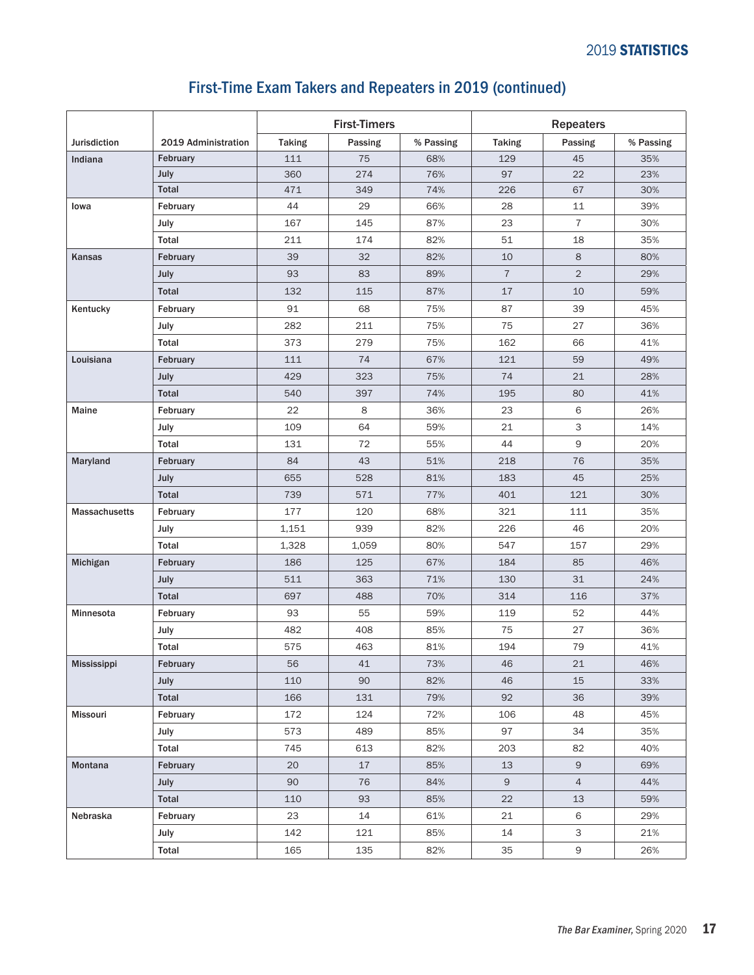#### Jurisdiction 2019 Administration First-Timers and the Repeaters Taking | Passing | % Passing | Taking | Passing | % Passing Indiana February 111 75 68% 129 45 35% July 360 274 76% 97 22 23% Total 471 349 74% 226 67 30% Iowa February 44 29 66% 28 11 39% July 167 145 87% 23 7 30% Total 211 174 82% 51 18 35% Kansas February 39 32 82% 10 8 80% July 93 83 89% 7 2 29% Total 132 115 87% 17 10 59% Kentucky |February | 91 | 68 | 75% | 87 | 39 | 45% July 282 211 75% 75 27 36% Total 373 279 75% 162 66 41% Louisiana February 111 74 67% 121 59 49% July 429 323 75% 74 21 28% Total 540 397 74% 195 80 41% Maine February 22 8 36% 23 6 26% July 109 64 59% 21 3 14% Total 131 72 55% 44 9 20% Maryland |February | 84 | 43 | 51% | 218 | 76 | 35% July 655 528 81% 183 45 25% Total 739 571 77% 401 121 30% Massachusetts |February 177 | 120 | 68% | 321 | 111 | 35% July 1,151 939 82% 226 46 20% Total 1,328 1,059 80% 547 157 29% Michigan | February | 186 | 125 | 67% | 184 | 85 | 46%

July 511 363 71% 130 31 24% Total 697 488 70% 314 116 37%

July 482 408 85% 75 27 36% Total 575 463 81% 194 79 41%

July 110 90 82% 46 15 33% Total 166 131 79% 92 36 39%

July 573 489 85% 97 34 35% Total | 745 | 613 | 82% | 203 | 82 | 40%

July 101 | 90 | 76 | 84% | 9 | 4 | 44% Total | 110 | 93 | 85% | 22 | 13 | 59%

July 142 121 85% 14 3 21% Total | 165 | 135 | 82% | 35 | 9 | 26%

Minnesota February 93 55 59% 119 52 44%

Mississippi February 56 41 73% 46 21 46%

Missouri February 172 124 72% 106 48 45%

Montana February 20 17 85% 13 9 69%

Nebraska February 23 14 61% 21 6 29%

#### First-Time Exam Takers and Repeaters in 2019 (continued)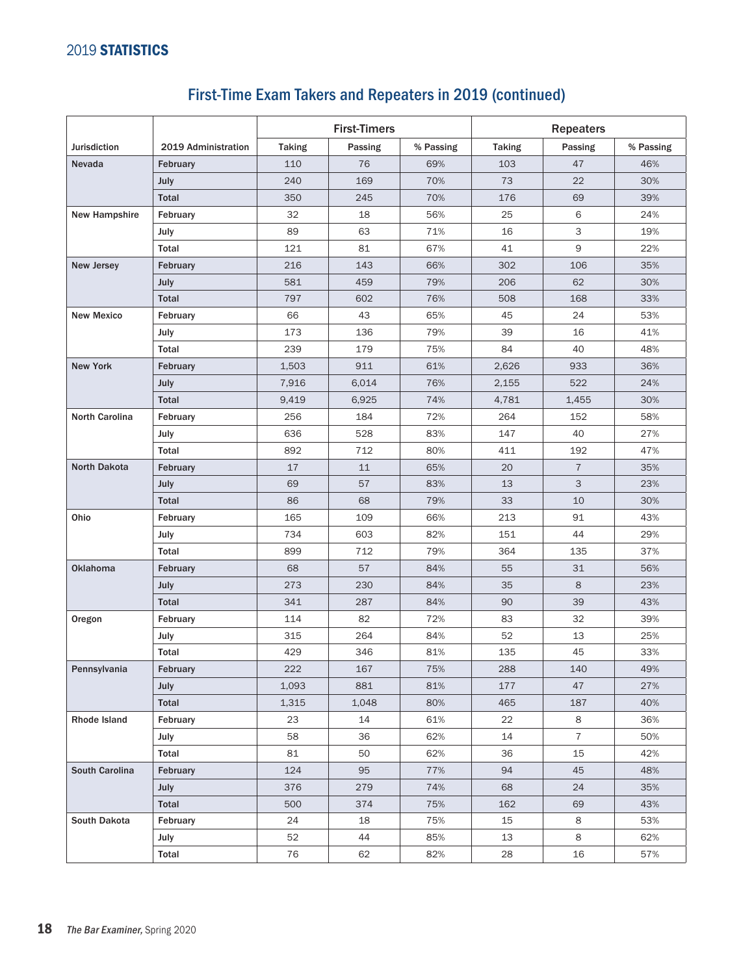# First-Time Exam Takers and Repeaters in 2019 (continued)

|                       |                     | <b>First-Timers</b> |         |           | <b>Repeaters</b> |                |           |  |
|-----------------------|---------------------|---------------------|---------|-----------|------------------|----------------|-----------|--|
| <b>Jurisdiction</b>   | 2019 Administration | <b>Taking</b>       | Passing | % Passing | <b>Taking</b>    | Passing        | % Passing |  |
| Nevada                | February            | 110                 | 76      | 69%       | 103              | 47             | 46%       |  |
|                       | July                | 240                 | 169     | 70%       | 73               | 22             | 30%       |  |
|                       | <b>Total</b>        | 350                 | 245     | 70%       | 176              | 69             | 39%       |  |
| <b>New Hampshire</b>  | February            | 32                  | 18      | 56%       | 25               | 6              | 24%       |  |
|                       | July                | 89                  | 63      | 71%       | 16               | 3              | 19%       |  |
|                       | Total               | 121                 | 81      | 67%       | 41               | 9              | 22%       |  |
| New Jersey            | February            | 216                 | 143     | 66%       | 302              | 106            | 35%       |  |
|                       | July                | 581                 | 459     | 79%       | 206              | 62             | 30%       |  |
|                       | <b>Total</b>        | 797                 | 602     | 76%       | 508              | 168            | 33%       |  |
| <b>New Mexico</b>     | February            | 66                  | 43      | 65%       | 45               | 24             | 53%       |  |
|                       | July                | 173                 | 136     | 79%       | 39               | 16             | 41%       |  |
|                       | Total               | 239                 | 179     | 75%       | 84               | 40             | 48%       |  |
| <b>New York</b>       | February            | 1,503               | 911     | 61%       | 2,626            | 933            | 36%       |  |
|                       | July                | 7,916               | 6,014   | 76%       | 2,155            | 522            | 24%       |  |
|                       | <b>Total</b>        | 9,419               | 6,925   | 74%       | 4,781            | 1,455          | 30%       |  |
| North Carolina        | February            | 256                 | 184     | 72%       | 264              | 152            | 58%       |  |
|                       | July                | 636                 | 528     | 83%       | 147              | 40             | 27%       |  |
|                       | Total               | 892                 | 712     | 80%       | 411              | 192            | 47%       |  |
| <b>North Dakota</b>   | February            | 17                  | 11      | 65%       | 20               | $\overline{7}$ | 35%       |  |
|                       | July                | 69                  | 57      | 83%       | 13               | 3              | 23%       |  |
|                       | <b>Total</b>        | 86                  | 68      | 79%       | 33               | 10             | 30%       |  |
| Ohio                  | February            | 165                 | 109     | 66%       | 213              | 91             | 43%       |  |
|                       | July                | 734                 | 603     | 82%       | 151              | 44             | 29%       |  |
|                       | Total               | 899                 | 712     | 79%       | 364              | 135            | 37%       |  |
| Oklahoma              | February            | 68                  | 57      | 84%       | 55               | 31             | 56%       |  |
|                       | July                | 273                 | 230     | 84%       | 35               | 8              | 23%       |  |
|                       | <b>Total</b>        | 341                 | 287     | 84%       | 90               | 39             | 43%       |  |
| Oregon                | February            | 114                 | 82      | 72%       | 83               | 32             | 39%       |  |
|                       | July                | 315                 | 264     | 84%       | 52               | 13             | 25%       |  |
|                       | Total               | 429                 | 346     | 81%       | 135              | 45             | 33%       |  |
| Pennsylvania          | February            | 222                 | 167     | 75%       | 288              | 140            | 49%       |  |
|                       | <b>July</b>         | 1,093               | 881     | 81%       | 177              | 47             | 27%       |  |
|                       | Total               | 1,315               | 1,048   | 80%       | 465              | 187            | 40%       |  |
| Rhode Island          | February            | 23                  | 14      | 61%       | 22               | 8              | 36%       |  |
|                       | July                | 58                  | 36      | 62%       | 14               | $\overline{7}$ | 50%       |  |
|                       | Total               | 81                  | 50      | 62%       | 36               | 15             | 42%       |  |
| <b>South Carolina</b> | February            | 124                 | 95      | 77%       | 94               | 45             | 48%       |  |
|                       | July                | 376                 | 279     | 74%       | 68               | 24             | 35%       |  |
|                       | Total               | 500                 | 374     | 75%       | 162              | 69             | 43%       |  |
| South Dakota          | February            | 24                  | 18      | 75%       | 15               | 8              | 53%       |  |
|                       | July                | 52                  | 44      | 85%       | 13               | 8              | 62%       |  |
|                       | Total               | 76                  | 62      | 82%       | 28               | 16             | 57%       |  |